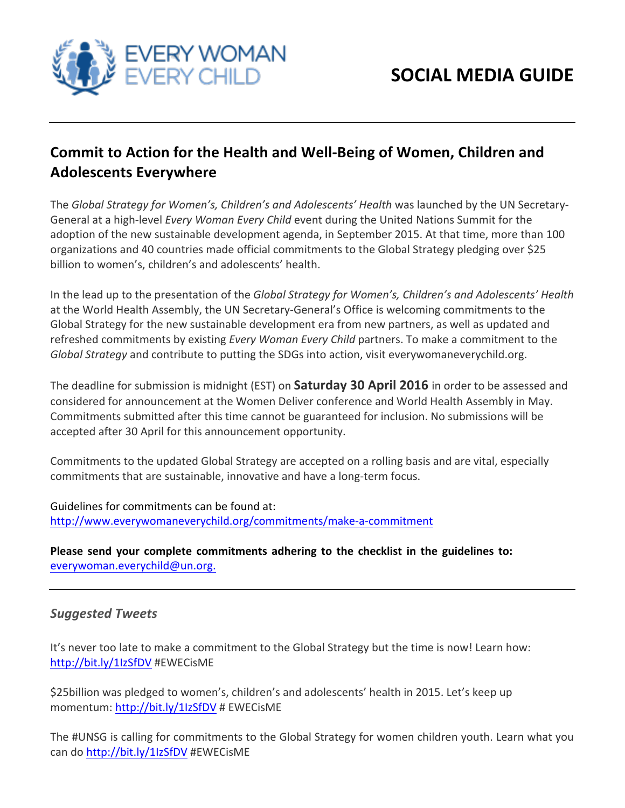

## **Commit to Action for the Health and Well-Being of Women, Children and Adolescents Everywhere**

The *Global Strategy for Women's, Children's and Adolescents' Health* was launched by the UN Secretary-General at a high-level *Every Woman Every Child* event during the United Nations Summit for the adoption of the new sustainable development agenda, in September 2015. At that time, more than 100 organizations and 40 countries made official commitments to the Global Strategy pledging over \$25 billion to women's, children's and adolescents' health.

In the lead up to the presentation of the *Global Strategy for Women's, Children's and Adolescents' Health* at the World Health Assembly, the UN Secretary-General's Office is welcoming commitments to the Global Strategy for the new sustainable development era from new partners, as well as updated and refreshed commitments by existing *Every Woman Every Child* partners. To make a commitment to the *Global Strategy* and contribute to putting the SDGs into action, visit everywomaneverychild.org.

The deadline for submission is midnight (EST) on **Saturday 30 April 2016** in order to be assessed and considered for announcement at the Women Deliver conference and World Health Assembly in May. Commitments submitted after this time cannot be guaranteed for inclusion. No submissions will be accepted after 30 April for this announcement opportunity.

Commitments to the updated Global Strategy are accepted on a rolling basis and are vital, especially commitments that are sustainable, innovative and have a long-term focus.

Guidelines for commitments can be found at: http://www.everywomaneverychild.org/commitments/make-a-commitment 

Please send your complete commitments adhering to the checklist in the guidelines to: everywoman.everychild@un.org. 

## *Suggested Tweets*

It's never too late to make a commitment to the Global Strategy but the time is now! Learn how: http://bit.ly/1IzSfDV #EWECisME

\$25billion was pledged to women's, children's and adolescents' health in 2015. Let's keep up momentum: http://bit.ly/1IzSfDV # EWECisME

The #UNSG is calling for commitments to the Global Strategy for women children youth. Learn what you can do http://bit.ly/1IzSfDV #EWECisME